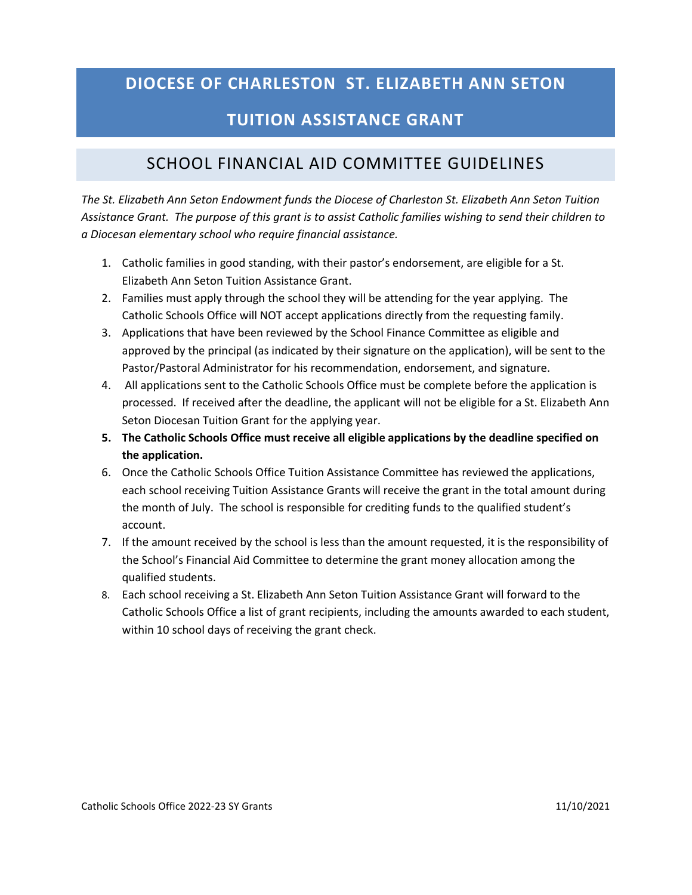### **DIOCESE OF CHARLESTON ST. ELIZABETH ANN SETON**

# **TUITION ASSISTANCE GRANT**

# SCHOOL FINANCIAL AID COMMITTEE GUIDELINES

*The St. Elizabeth Ann Seton Endowment funds the Diocese of Charleston St. Elizabeth Ann Seton Tuition Assistance Grant. The purpose of this grant is to assist Catholic families wishing to send their children to a Diocesan elementary school who require financial assistance.* 

- 1. Catholic families in good standing, with their pastor's endorsement, are eligible for a St. Elizabeth Ann Seton Tuition Assistance Grant.
- 2. Families must apply through the school they will be attending for the year applying. The Catholic Schools Office will NOT accept applications directly from the requesting family.
- 3. Applications that have been reviewed by the School Finance Committee as eligible and approved by the principal (as indicated by their signature on the application), will be sent to the Pastor/Pastoral Administrator for his recommendation, endorsement, and signature.
- 4. All applications sent to the Catholic Schools Office must be complete before the application is processed. If received after the deadline, the applicant will not be eligible for a St. Elizabeth Ann Seton Diocesan Tuition Grant for the applying year.
- **5. The Catholic Schools Office must receive all eligible applications by the deadline specified on the application.**
- 6. Once the Catholic Schools Office Tuition Assistance Committee has reviewed the applications, each school receiving Tuition Assistance Grants will receive the grant in the total amount during the month of July. The school is responsible for crediting funds to the qualified student's account.
- 7. If the amount received by the school is less than the amount requested, it is the responsibility of the School's Financial Aid Committee to determine the grant money allocation among the qualified students.
- 8. Each school receiving a St. Elizabeth Ann Seton Tuition Assistance Grant will forward to the Catholic Schools Office a list of grant recipients, including the amounts awarded to each student, within 10 school days of receiving the grant check.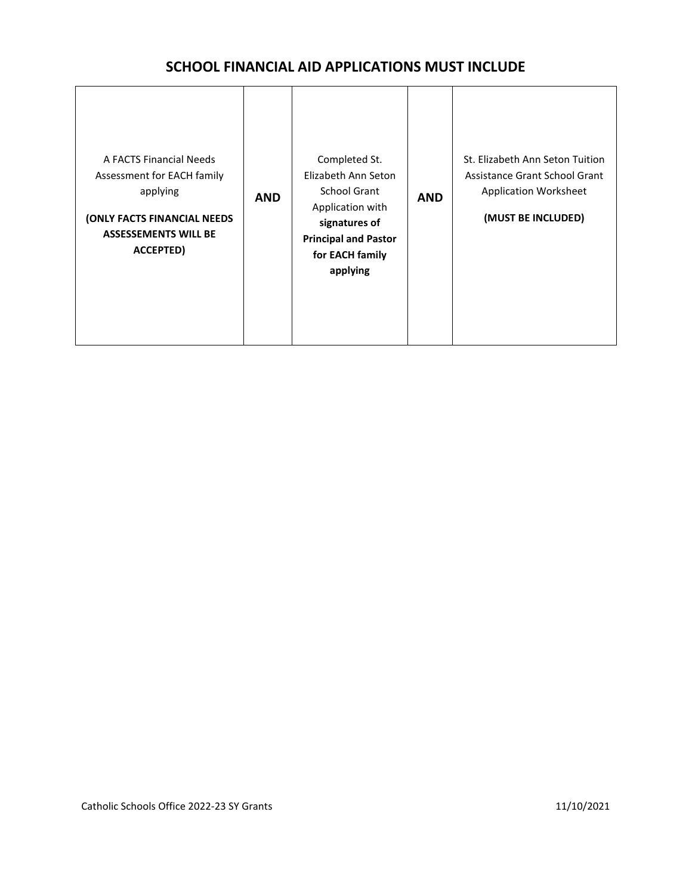### **SCHOOL FINANCIAL AID APPLICATIONS MUST INCLUDE**

| A FACTS Financial Needs<br>Assessment for EACH family<br>applying<br>(ONLY FACTS FINANCIAL NEEDS<br><b>ASSESSEMENTS WILL BE</b><br>ACCEPTED) | <b>AND</b> | Completed St.<br>Elizabeth Ann Seton<br>School Grant<br>Application with<br>signatures of<br><b>Principal and Pastor</b><br>for EACH family<br>applying | <b>AND</b> | St. Elizabeth Ann Seton Tuition<br>Assistance Grant School Grant<br>Application Worksheet<br>(MUST BE INCLUDED) |
|----------------------------------------------------------------------------------------------------------------------------------------------|------------|---------------------------------------------------------------------------------------------------------------------------------------------------------|------------|-----------------------------------------------------------------------------------------------------------------|
|----------------------------------------------------------------------------------------------------------------------------------------------|------------|---------------------------------------------------------------------------------------------------------------------------------------------------------|------------|-----------------------------------------------------------------------------------------------------------------|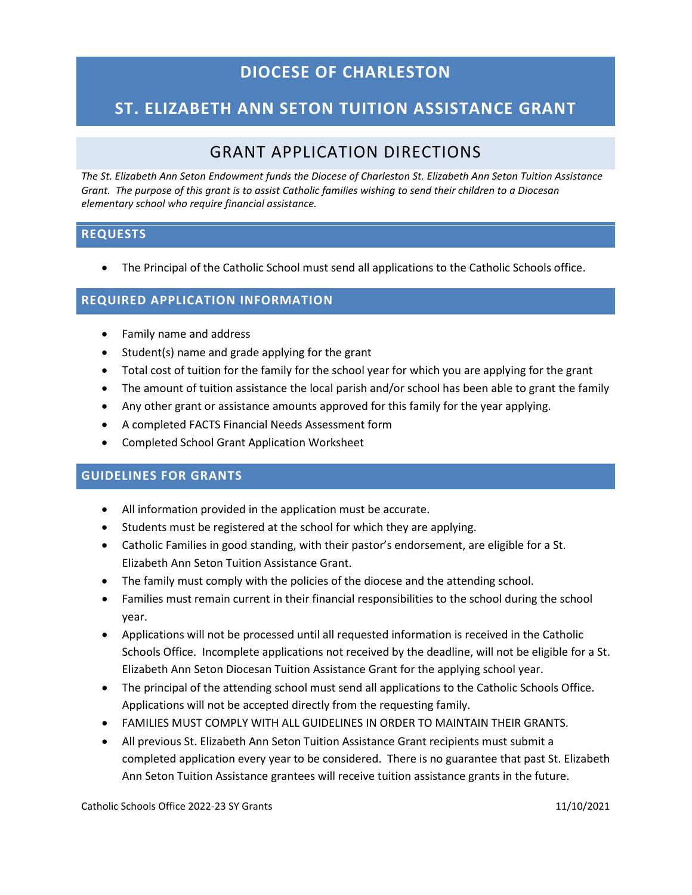## **DIOCESE OF CHARLESTON**

## **ST. ELIZABETH ANN SETON TUITION ASSISTANCE GRANT**

### GRANT APPLICATION DIRECTIONS

*The St. Elizabeth Ann Seton Endowment funds the Diocese of Charleston St. Elizabeth Ann Seton Tuition Assistance Grant. The purpose of this grant is to assist Catholic families wishing to send their children to a Diocesan elementary school who require financial assistance.* 

### **REQUESTS**

• The Principal of the Catholic School must send all applications to the Catholic Schools office.

### **REQUIRED APPLICATION INFORMATION**

- Family name and address
- Student(s) name and grade applying for the grant
- Total cost of tuition for the family for the school year for which you are applying for the grant
- The amount of tuition assistance the local parish and/or school has been able to grant the family
- Any other grant or assistance amounts approved for this family for the year applying.
- A completed FACTS Financial Needs Assessment form
- Completed School Grant Application Worksheet

### **GUIDELINES FOR GRANTS**

- All information provided in the application must be accurate.
- Students must be registered at the school for which they are applying.
- Catholic Families in good standing, with their pastor's endorsement, are eligible for a St. Elizabeth Ann Seton Tuition Assistance Grant.
- The family must comply with the policies of the diocese and the attending school.
- Families must remain current in their financial responsibilities to the school during the school year.
- Applications will not be processed until all requested information is received in the Catholic Schools Office. Incomplete applications not received by the deadline, will not be eligible for a St. Elizabeth Ann Seton Diocesan Tuition Assistance Grant for the applying school year.
- The principal of the attending school must send all applications to the Catholic Schools Office. Applications will not be accepted directly from the requesting family.
- FAMILIES MUST COMPLY WITH ALL GUIDELINES IN ORDER TO MAINTAIN THEIR GRANTS.
- All previous St. Elizabeth Ann Seton Tuition Assistance Grant recipients must submit a completed application every year to be considered. There is no guarantee that past St. Elizabeth Ann Seton Tuition Assistance grantees will receive tuition assistance grants in the future.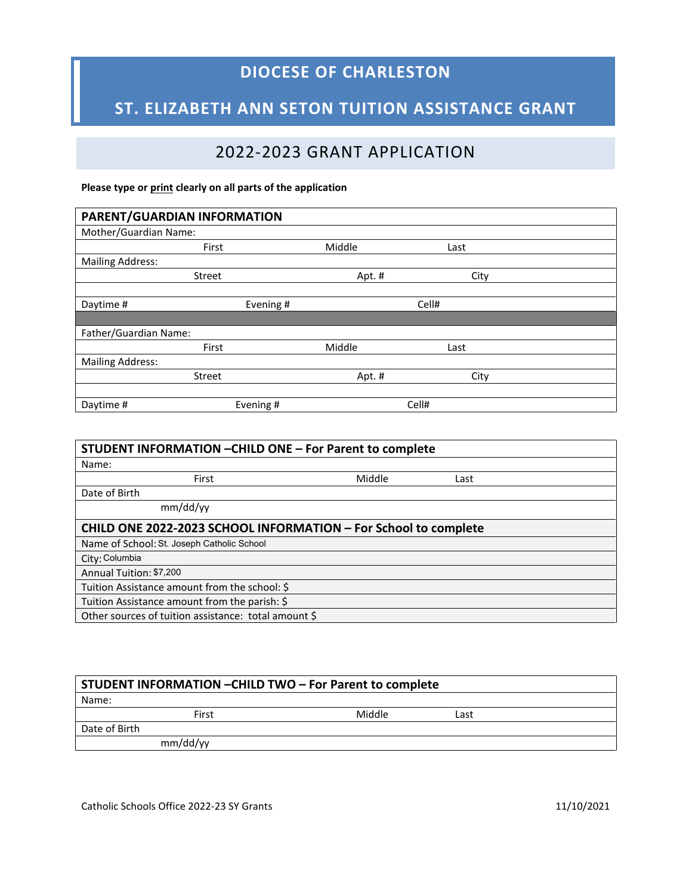# **DIOCESE OF CHARLESTON**

# **ST. ELIZABETH ANN SETON TUITION ASSISTANCE GRANT**

# 2022-2023 GRANT APPLICATION

#### **Please type or print clearly on all parts of the application**

| PARENT/GUARDIAN INFORMATION |           |        |       |      |
|-----------------------------|-----------|--------|-------|------|
| Mother/Guardian Name:       |           |        |       |      |
| First                       |           | Middle | Last  |      |
| <b>Mailing Address:</b>     |           |        |       |      |
| Street                      |           | Apt. # |       | City |
|                             |           |        |       |      |
| Daytime #                   | Evening # |        | Cell# |      |
|                             |           |        |       |      |
| Father/Guardian Name:       |           |        |       |      |
| First                       |           | Middle | Last  |      |
| <b>Mailing Address:</b>     |           |        |       |      |
| <b>Street</b>               |           | Apt.#  |       | City |
|                             |           |        |       |      |
| Daytime#                    | Evening # |        | Cell# |      |

| STUDENT INFORMATION - CHILD ONE - For Parent to complete        |        |      |  |  |  |
|-----------------------------------------------------------------|--------|------|--|--|--|
| Name:                                                           |        |      |  |  |  |
| First                                                           | Middle | Last |  |  |  |
| Date of Birth                                                   |        |      |  |  |  |
| mm/dd/yy                                                        |        |      |  |  |  |
| CHILD ONE 2022-2023 SCHOOL INFORMATION - For School to complete |        |      |  |  |  |
| Name of School: St. Joseph Catholic School                      |        |      |  |  |  |
| City: Columbia                                                  |        |      |  |  |  |
| Annual Tuition: \$7,200                                         |        |      |  |  |  |
| Tuition Assistance amount from the school: \$                   |        |      |  |  |  |
| Tuition Assistance amount from the parish: \$                   |        |      |  |  |  |
| Other sources of tuition assistance: total amount \$            |        |      |  |  |  |

| STUDENT INFORMATION - CHILD TWO - For Parent to complete |          |        |      |  |
|----------------------------------------------------------|----------|--------|------|--|
| Name:                                                    |          |        |      |  |
|                                                          | First    | Middle | Last |  |
| Date of Birth                                            |          |        |      |  |
|                                                          | mm/dd/yy |        |      |  |